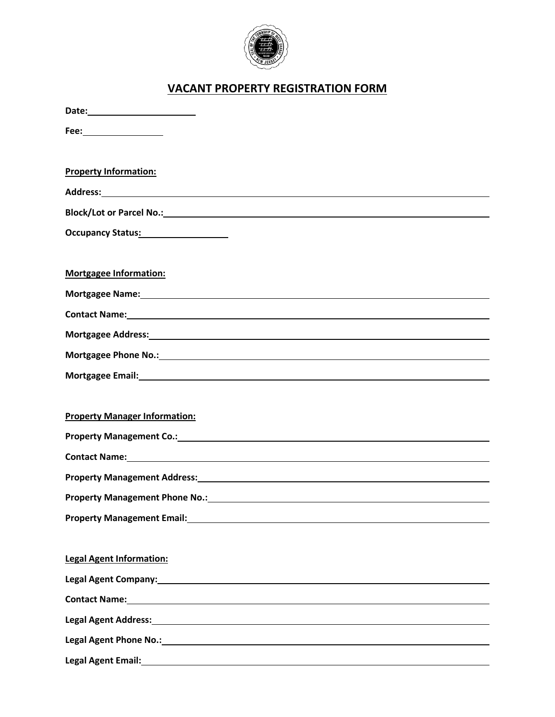

## **VACANT PROPERTY REGISTRATION FORM**

| Fee: _________________                                                                                                                                                                                                         |
|--------------------------------------------------------------------------------------------------------------------------------------------------------------------------------------------------------------------------------|
| <b>Property Information:</b>                                                                                                                                                                                                   |
|                                                                                                                                                                                                                                |
|                                                                                                                                                                                                                                |
|                                                                                                                                                                                                                                |
| <b>Mortgagee Information:</b>                                                                                                                                                                                                  |
|                                                                                                                                                                                                                                |
| Contact Name: 1988 Contact Name: 1988 Contact Name: 1988 Contact Name: 1988 Contact Name: 1988 Contact Name: 1988 Contact Name: 1988 Contact Name: 1988 Contact Name: 1988 Contact Name: 1988 Contact Name: 1988 Contact Name: |
| Mortgagee Address: Note and the Contract of the Contract of the Contract of the Contract of the Contract of the Contract of the Contract of the Contract of the Contract of the Contract of the Contract of the Contract of th |
| Mortgagee Phone No.: No. 2008 2012 12:00:00 12:00:00 12:00:00 12:00:00 12:00:00 12:00:00 12:00:00 12:00:00 12:00:00 12:00:00 12:00:00 12:00:00 12:00:00 12:00:00 12:00:00 12:00:00 12:00:00 12:00:00 12:00:00 12:00:00 12:00:0 |
| Mortgagee Email: Nortgagee Email:                                                                                                                                                                                              |
|                                                                                                                                                                                                                                |
| <b>Property Manager Information:</b>                                                                                                                                                                                           |
| Property Management Co.: New York Co. 2014 19:30 19:30 19:30 19:30 19:30 19:30 19:30 19:30 19:30 19:30 19:30 1                                                                                                                 |
|                                                                                                                                                                                                                                |
|                                                                                                                                                                                                                                |
|                                                                                                                                                                                                                                |
|                                                                                                                                                                                                                                |
|                                                                                                                                                                                                                                |
| <b>Legal Agent Information:</b>                                                                                                                                                                                                |
|                                                                                                                                                                                                                                |
|                                                                                                                                                                                                                                |
| Legal Agent Address: 1988 and 2008 and 2008 and 2008 and 2008 and 2008 and 2008 and 2008 and 2008 and 2008 and                                                                                                                 |
|                                                                                                                                                                                                                                |
| Legal Agent Email: <u>Contract Communication</u> Contract Communication Communication Communication                                                                                                                            |